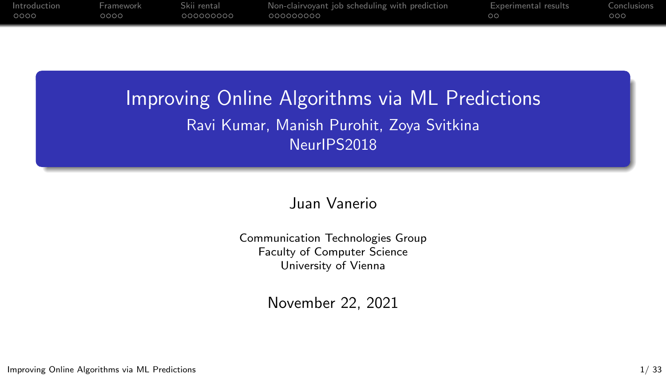| 00001<br>೧೧೧೧<br>.000000000<br>.000000000<br>000 | Introduction | Framework | Skii rental | Non-clairvoyant job scheduling with prediction | Experimental results | Conclusions |
|--------------------------------------------------|--------------|-----------|-------------|------------------------------------------------|----------------------|-------------|
|                                                  |              |           |             |                                                |                      |             |

## Improving Online Algorithms via ML Predictions Ravi Kumar, Manish Purohit, Zoya Svitkina NeurIPS2018

### Juan Vanerio

Communication Technologies Group Faculty of Computer Science University of Vienna

November 22, 2021

Improving Online Algorithms via ML Predictions 1/ 33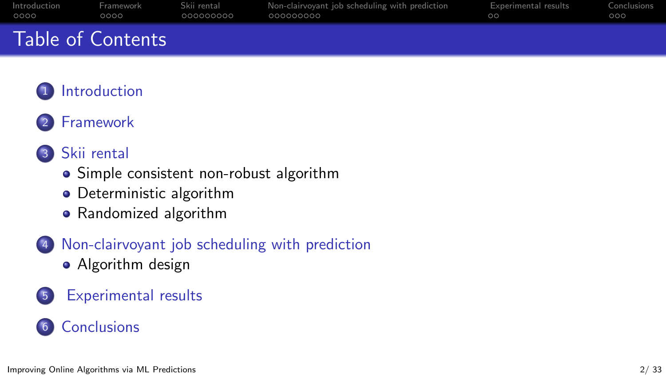|      | . Table of Countmin    |             |                                                |                      |             |
|------|------------------------|-------------|------------------------------------------------|----------------------|-------------|
| OOOO | ററററ                   | 000000000   | 000000000                                      | $\cap$ $\cap$        | റററ         |
|      | Introduction Framework | Skii rental | Non-clairvoyant job scheduling with prediction | Experimental results | Conclusions |

## Table of Contents

## **[Introduction](#page-2-0)**

### **[Framework](#page-6-0)**

### 3 [Skii rental](#page-10-0)

- [Simple consistent non-robust algorithm](#page-12-0)
- [Deterministic algorithm](#page-13-0)
- [Randomized algorithm](#page-16-0)
- [Non-clairvoyant job scheduling with prediction](#page-19-0)
	- [Algorithm design](#page-21-0)
- 5 [Experimental results](#page-28-0)

## 6 [Conclusions](#page-30-0)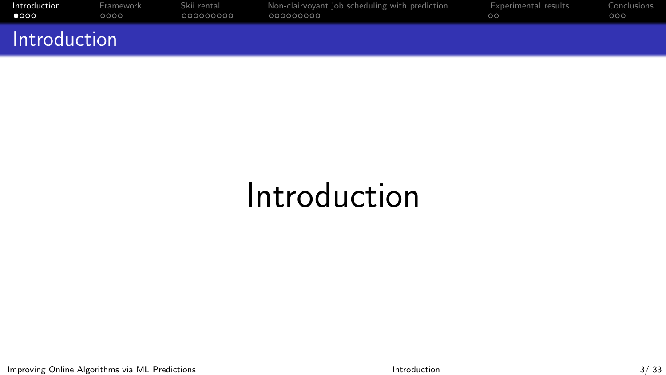<span id="page-2-0"></span>

| Introduction | Framework | Skii rental | Non-clairvovant iob scheduling with prediction | Experimental results | Conclusions |
|--------------|-----------|-------------|------------------------------------------------|----------------------|-------------|
| $\bullet$    | ററററ      | 000000000   | - 000000000                                    | ററ                   | റററ         |
| Introduction |           |             |                                                |                      |             |

# Introduction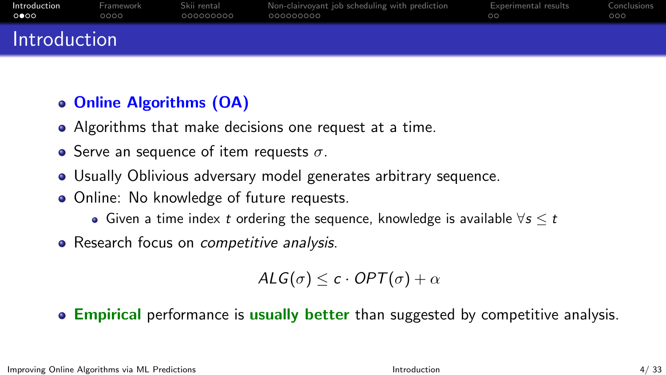| Introduction | Framework | Skii rental | Non-clairvoyant job scheduling with prediction | Experimental results | Conclusions |
|--------------|-----------|-------------|------------------------------------------------|----------------------|-------------|
| െറെ          | റററെ      | .000000000  | - 000000000                                    | ററ                   | റററ         |
| Introduction |           |             |                                                |                      |             |

## Online Algorithms (OA)

- Algorithms that make decisions one request at a time.
- Serve an sequence of item requests  $\sigma$ .
- Usually Oblivious adversary model generates arbitrary sequence.
- Online: No knowledge of future requests.
	- Given a time index t ordering the sequence, knowledge is available  $\forall s \leq t$
- Research focus on *competitive analysis*.

$$
\mathsf{ALG}(\sigma) \leq c \cdot \mathsf{OPT}(\sigma) + \alpha
$$

### **Empirical** performance is usually better than suggested by competitive analysis.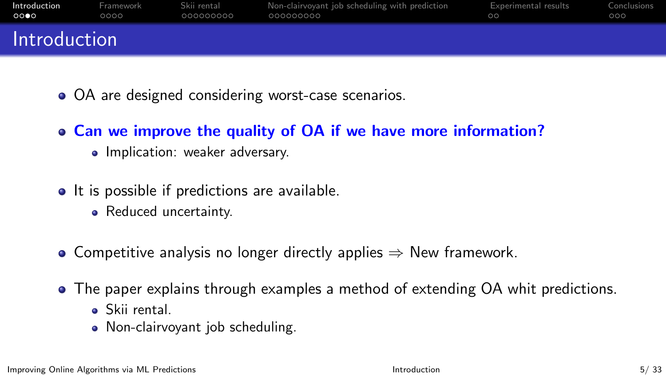| Introduction | Framework | Skii rental | Non-clairvoyant job scheduling with prediction | Experimental results | Conclusions |
|--------------|-----------|-------------|------------------------------------------------|----------------------|-------------|
| റററെ         | റററ       | .000000000  | .000000000                                     | ററ                   | 000         |
| Introduction |           |             |                                                |                      |             |

- OA are designed considering worst-case scenarios.
- Can we improve the quality of OA if we have more information?
	- Implication: weaker adversary.
- It is possible if predictions are available.
	- Reduced uncertainty.
- Competitive analysis no longer directly applies  $\Rightarrow$  New framework.
- The paper explains through examples a method of extending OA whit predictions.
	- Skii rental.
	- Non-clairvoyant job scheduling.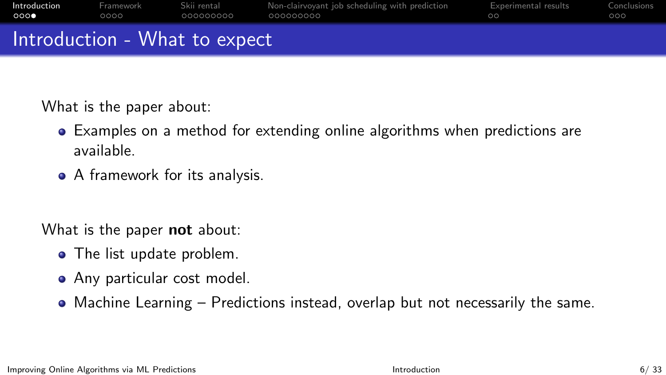| റററ          | ററററ      | 000000000   | 000000000                                      | ററ                   | റററ         |
|--------------|-----------|-------------|------------------------------------------------|----------------------|-------------|
| Introduction | Framework | Skii rental | Non-clairvoyant job scheduling with prediction | Experimental results | Conclusions |

## Introduction - What to expect

What is the paper about:

- Examples on a method for extending online algorithms when predictions are available.
- A framework for its analysis.

What is the paper **not** about:

- The list update problem.
- Any particular cost model.
- Machine Learning Predictions instead, overlap but not necessarily the same.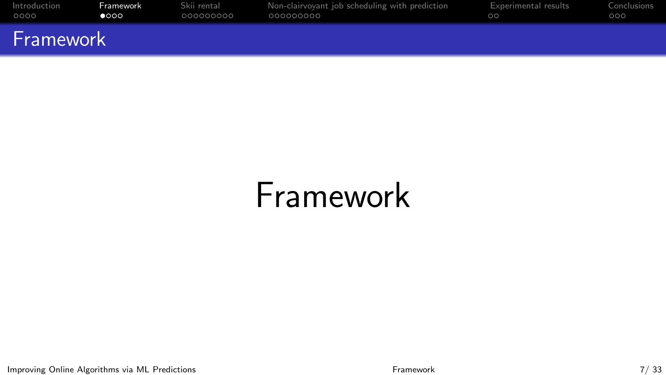<span id="page-6-0"></span>

| Introduction | Framework | Skii rental | Non-clairvoyant job scheduling with prediction | Experimental results | Conclusions |
|--------------|-----------|-------------|------------------------------------------------|----------------------|-------------|
| 0000         | റേററ      | .000000000  | .000000000                                     | ററ                   | 000         |
| Framework    |           |             |                                                |                      |             |

# Framework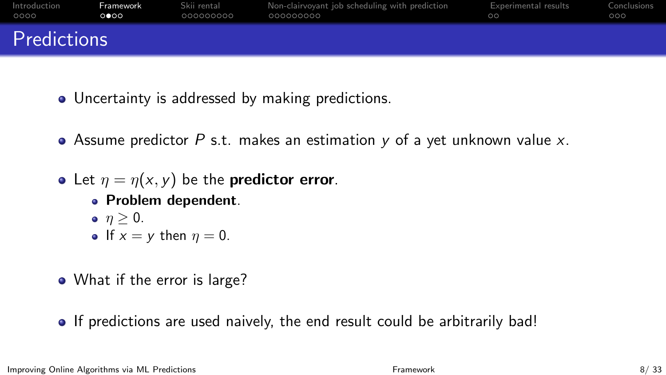| Introduction | Framework | Skii rental | Non-clairvoyant job scheduling with prediction | Experimental results | Conclusions |
|--------------|-----------|-------------|------------------------------------------------|----------------------|-------------|
| - OOOO       | ററേറ      | .000000000  | .000000000                                     | ററ                   | 000         |
| Predictions  |           |             |                                                |                      |             |

- Uncertainty is addressed by making predictions.
- Assume predictor P s.t. makes an estimation  $y$  of a yet unknown value  $x$ .
- Let  $\eta = \eta(x, y)$  be the **predictor error**.
	- Problem dependent.
	- $\bullet$   $n > 0$ . If  $x = y$  then  $\eta = 0$ .
- What if the error is large?
- If predictions are used naively, the end result could be arbitrarily bad!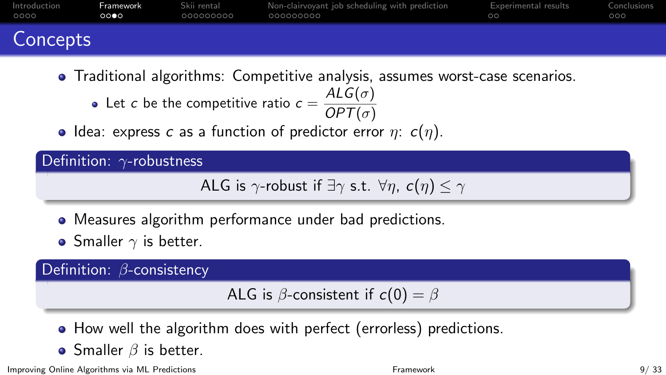| Introduction | Framework | Skii rental | Non-clairvoyant job scheduling with prediction | Experimental results | Conclusions |
|--------------|-----------|-------------|------------------------------------------------|----------------------|-------------|
| OOOO         | റററെ      | 000000000   | - 000000000                                    | ററ                   | റററ         |
| Concepts     |           |             |                                                |                      |             |

- Traditional algorithms: Competitive analysis, assumes worst-case scenarios.
	- Let c be the competitive ratio  $c = \frac{ALG(\sigma)}{OPT(\sigma)}$  $OPT(\sigma)$
- Idea: express c as a function of predictor error  $\eta$ :  $c(\eta)$ .

Definition: γ-robustness

```
ALG is \gamma-robust if \exists \gamma s.t. \forall \eta, c(\eta) \leq \gamma
```
- Measures algorithm performance under bad predictions.
- Smaller  $\gamma$  is better.

Definition: β-consistency

ALG is  $\beta$ -consistent if  $c(0) = \beta$ 

- How well the algorithm does with perfect (errorless) predictions.
- Smaller  $\beta$  is better.

Improving Online Algorithms via ML Predictions **Framework** [Framework](#page-6-0) **Framework** 9/ 33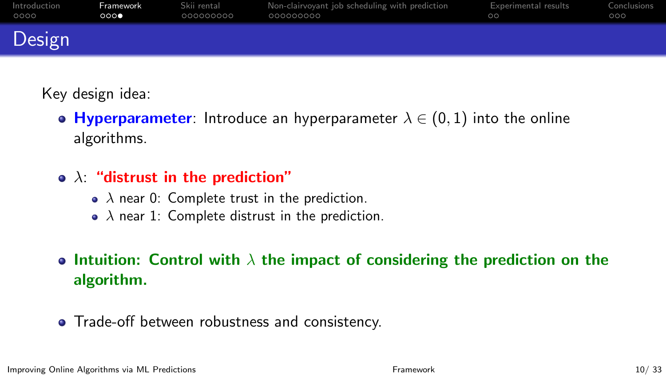| Introduction | Framework | Skii rental | Non-clairvoyant job scheduling with prediction | Experimental results | Conclusions |
|--------------|-----------|-------------|------------------------------------------------|----------------------|-------------|
| 0000         | 0000      | .000000000  | - 000000000                                    | ററ                   | 000         |
| Design       |           |             |                                                |                      |             |

Key design idea:

- Hyperparameter: Introduce an hyperparameter  $\lambda \in (0,1)$  into the online algorithms.
- $\bullet$   $\lambda$ : "distrust in the prediction"
	- $\lambda$  near 0: Complete trust in the prediction.
	- $\lambda$  near 1: Complete distrust in the prediction.

## • Intuition: Control with  $\lambda$  the impact of considering the prediction on the algorithm.

• Trade-off between robustness and consistency.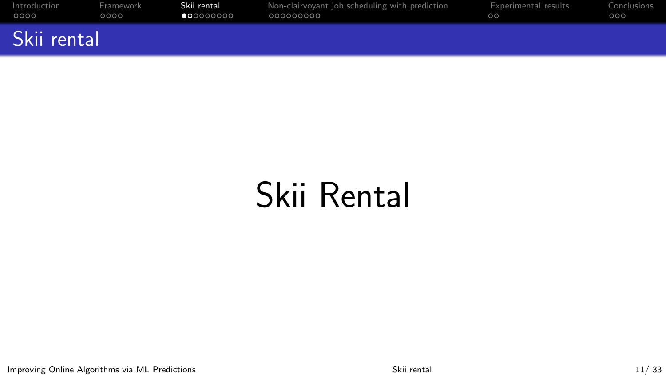<span id="page-10-0"></span>

| Introduction | Framework | Skii rental        | Non-clairvoyant job scheduling with prediction | Experimental results | Conclusions |
|--------------|-----------|--------------------|------------------------------------------------|----------------------|-------------|
| 0000         | ററററ      | $\bullet$ 00000000 | .000000000                                     | ററ                   | 000         |
| Skii rental  |           |                    |                                                |                      |             |

# Skii Rental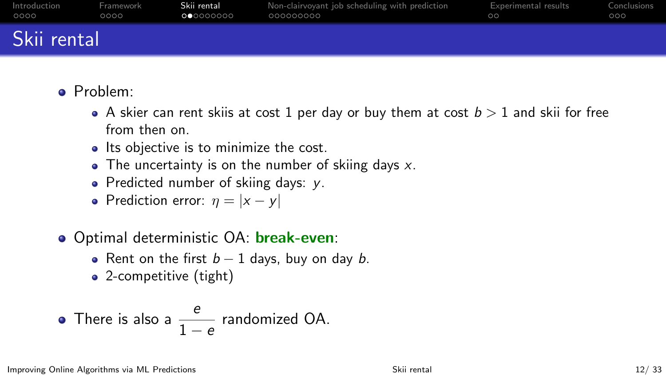| Introduction | Framework | Skii rental       | Non-clairvoyant job scheduling with prediction | <b>Experimental results</b> | Conclusions |
|--------------|-----------|-------------------|------------------------------------------------|-----------------------------|-------------|
| 0000         | 0000      | <b>OC</b> OOOOOOO | .000000000                                     | ററ                          | 000         |
| Skii rental  |           |                   |                                                |                             |             |

- Problem:
	- A skier can rent skiis at cost 1 per day or buy them at cost  $b > 1$  and skii for free from then on.
	- Its objective is to minimize the cost.
	- $\bullet$  The uncertainty is on the number of skiing days x.
	- Predicted number of skiing days:  $v$ .
	- Prediction error:  $\eta = |x y|$
- **Optimal deterministic OA: break-even:** 
	- Rent on the first  $b 1$  days, buy on day b.
	- 2-competitive (tight)

• There is also a 
$$
\frac{e}{1-e}
$$
 randomized OA.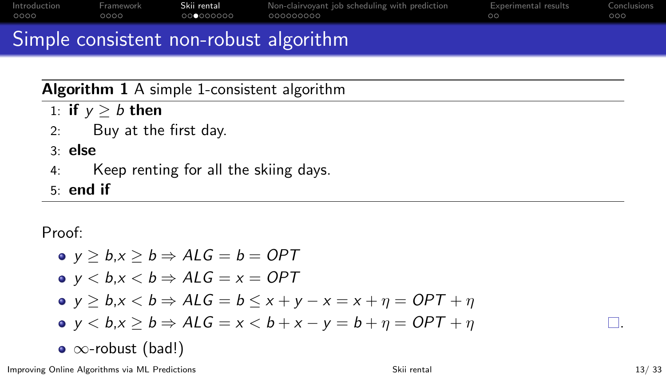<span id="page-12-0"></span>

| Introduction | Framework | Skii rental | Non-clairvoyant job scheduling with prediction | Experimental results | Conclusions |
|--------------|-----------|-------------|------------------------------------------------|----------------------|-------------|
| 0000         | ററററ      | 000000000   | .000000000                                     | ററ                   | റററ         |

## Simple consistent non-robust algorithm

## Algorithm 1 A simple 1-consistent algorithm

- 1: if  $y > b$  then
- 2: Buy at the first day.

### 3: else

- 4: Keep renting for all the skiing days.
- 5: end if

Proof:

\n- \n
$$
y \geq b, x \geq b \Rightarrow ALG = b = OPT
$$
\n
\n- \n $y < b, x < b \Rightarrow ALG = x = OPT$ \n
\n- \n $y \geq b, x < b \Rightarrow ALG = b \leq x + y - x = x + \eta = OPT + \eta$ \n
\n- \n $y < b, x \geq b \Rightarrow ALG = x < b + x - y = b + \eta = OPT + \eta$ \n
\n- \n $\infty$ -robust (bad!)\n
\n

Improving Online Algorithms via ML Predictions **Skii rental** [Skii rental](#page-10-0) 13/ 33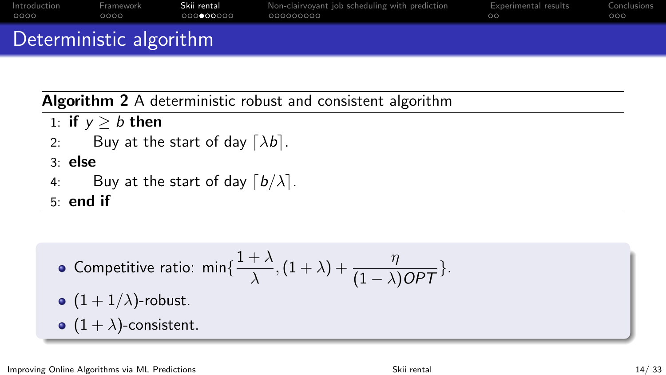<span id="page-13-0"></span>

|              | Deterministic algorithm |                       |                                                |                      |             |
|--------------|-------------------------|-----------------------|------------------------------------------------|----------------------|-------------|
| Introduction | Framework               | Skii rental           | Non-clairvoyant job scheduling with prediction | Experimental results | Conclusions |
| 0000         | ററററ                    | - ∩ ∩ ∩ ∩ ∩ ∩ ∩ ∩ ∩ ∩ | .000000000                                     | ററ                   | റററ         |

Algorithm 2 A deterministic robust and consistent algorithm

- 1: if  $y \ge b$  then
- 2: Buy at the start of day  $[\lambda b]$ .
- 3: else
- 4: Buy at the start of day  $\lceil b/\lambda \rceil$ .
- 5: end if

\n- competitive ratio: 
$$
\min\{\frac{1+\lambda}{\lambda}, (1+\lambda) + \frac{\eta}{(1-\lambda)OPT}\}
$$
.
\n- (1+1/\lambda)-robust.
\n- (1+\lambda)-consistent.
\n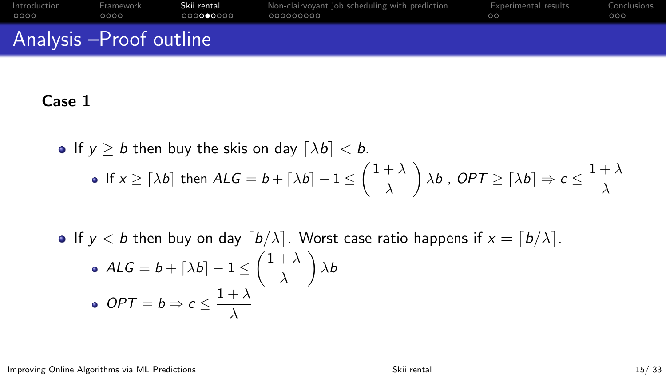| 0000                    | ററററ | 000000000 | 000000000 | ററ | റററ |
|-------------------------|------|-----------|-----------|----|-----|
| Analysis -Proof outline |      |           |           |    |     |

### Case 1

- If  $y \ge b$  then buy the skis on day  $\lceil \lambda b \rceil < b$ . If  $x \geq \lceil \lambda b \rceil$  then  $ALG = b + \lceil \lambda b \rceil - 1 \leq \left( \frac{1 + \lambda}{\lambda} \right)$ λ  $\bigg\{ \lambda b$ , OPT  $\geq \big[\lambda b\big] \Rightarrow c \leq \frac{1+\lambda}{\lambda}$ λ
- If  $y < b$  then buy on day  $\lceil b/\lambda \rceil$ . Worst case ratio happens if  $x = \lceil b/\lambda \rceil$ .

\n- \n
$$
ALG = b + \lceil \lambda b \rceil - 1 \leq \left( \frac{1 + \lambda}{\lambda} \right) \lambda b
$$
\n
\n- \n
$$
OPT = b \Rightarrow c \leq \frac{1 + \lambda}{\lambda}
$$
\n
\n

Improving Online Algorithms via ML Predictions **Skitters** [Skii rental](#page-10-0) Skii rental 15/ 33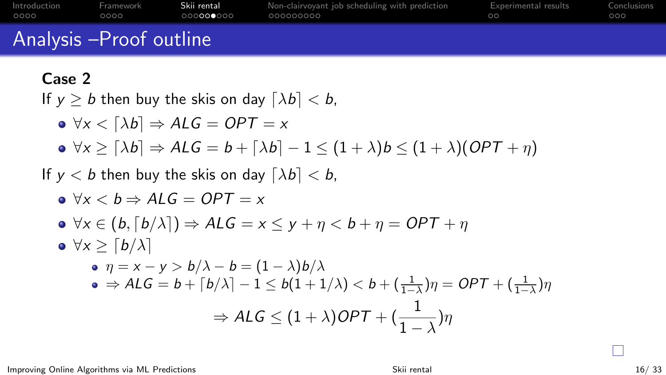| Introduction            | Framework | Skii rental         | Non-clairvoyant job scheduling with prediction | Experimental results | Conclusions |
|-------------------------|-----------|---------------------|------------------------------------------------|----------------------|-------------|
| 0000                    | റററെ      | .000 <b>000</b> 000 | - 000000000                                    | ററ                   | റററ         |
| Analysis -Proof outline |           |                     |                                                |                      |             |

### Case 2

If  $y > b$  then buy the skis on day  $[\lambda b] < b$ ,

$$
\bullet \ \forall x < [\lambda b] \Rightarrow ALG = OPT = x
$$

 $\bullet \forall x \geq [\lambda b] \Rightarrow ALG = b + [\lambda b] - 1 \leq (1 + \lambda)b \leq (1 + \lambda)(OPT + \eta)$ 

If  $y < b$  then buy the skis on day  $[\lambda b] < b$ ,

$$
\bullet \forall x < b \Rightarrow ALG = OPT = x
$$

$$
\bullet \ \forall x \in (b, \lceil b/\lambda \rceil) \Rightarrow \mathsf{ALG} = x \leq y + \eta < b + \eta = \mathsf{OPT} + \eta
$$

\n- \n
$$
\sqrt{4} \geq \left\lceil \frac{b}{\lambda} \right\rceil
$$
\n
\n- \n
$$
\sqrt{7} = \sqrt{5} \geq \sqrt{5} \geq \sqrt{5} \geq \sqrt{5} \geq \sqrt{5} \geq \sqrt{5} \geq \sqrt{5} \geq \sqrt{5} \geq \sqrt{5} \geq \sqrt{5} \geq \sqrt{5} \geq \sqrt{5} \geq \sqrt{5} \geq \sqrt{5} \geq \sqrt{5} \geq \sqrt{5} \geq \sqrt{5} \geq \sqrt{5} \geq \sqrt{5} \geq \sqrt{5} \geq \sqrt{5} \geq \sqrt{5} \geq \sqrt{5} \geq \sqrt{5} \geq \sqrt{5} \geq \sqrt{5} \geq \sqrt{5} \geq \sqrt{5} \geq \sqrt{5} \geq \sqrt{5} \geq \sqrt{5} \geq \sqrt{5} \geq \sqrt{5} \geq \sqrt{5} \geq \sqrt{5} \geq \sqrt{5} \geq \sqrt{5} \geq \sqrt{5} \geq \sqrt{5} \geq \sqrt{5} \geq \sqrt{5} \geq \sqrt{5} \geq \sqrt{5} \geq \sqrt{5} \geq \sqrt{5} \geq \sqrt{5} \geq \sqrt{5} \geq \sqrt{5} \geq \sqrt{5} \geq \sqrt{5} \geq \sqrt{5} \geq \sqrt{5} \geq \sqrt{5} \geq \sqrt{5} \geq \sqrt{5} \geq \sqrt{5} \geq \sqrt{5} \geq \sqrt{5} \geq \sqrt{5} \geq \sqrt{5} \geq \sqrt{5} \geq \sqrt{5} \geq \sqrt{5} \geq \sqrt{5} \geq \sqrt{5} \geq \sqrt{5} \geq \sqrt{5} \geq \sqrt{5} \geq \sqrt{5} \geq \sqrt{5} \geq \sqrt{5} \geq \sqrt{5} \geq \sqrt{5} \geq \sqrt{5} \geq \sqrt{5} \geq \sqrt{5} \geq \sqrt{5} \geq \sqrt{5} \geq \sqrt{5} \geq \sqrt{5} \geq \sqrt{5} \geq \sqrt{5} \geq \sqrt{5} \geq \sqrt{5} \geq \sqrt{5} \geq \sqrt{5} \geq \sqrt{5} \geq \sqrt{5} \geq \sqrt{
$$

П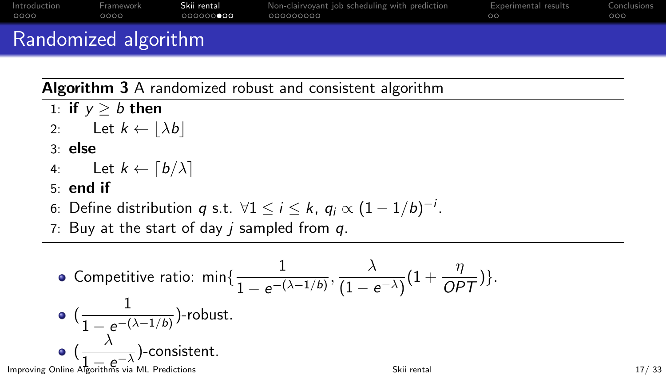<span id="page-16-0"></span>

| Introduction<br>OOOO | Framework<br>ററററ | Skii rental<br>.000000 <b>000</b> | Non-clairvoyant job scheduling with prediction<br>. 000000000 | Experimental results<br>ററ<br>_____ | Conclusions<br>റററ |
|----------------------|-------------------|-----------------------------------|---------------------------------------------------------------|-------------------------------------|--------------------|
| $\sim$               |                   |                                   |                                                               |                                     |                    |

## Randomized algorithm

Algorithm 3 A randomized robust and consistent algorithm

- 1: if  $v > b$  then
- 2: Let  $k \leftarrow |\lambda b|$
- 3: else
- 4: Let  $k \leftarrow \lceil b/\lambda \rceil$
- 5: end if
- 6: Define distribution  $q$  s.t.  $\forall 1 \leq i \leq k$ ,  $q_i \propto (1-1/b)^{-i}$ .
- 7: Buy at the start of day  $i$  sampled from  $q$ .

\n- \n 6. Compute ratio: 
$$
\min\left\{\frac{1}{1 - e^{-(\lambda - 1/b)}}, \frac{\lambda}{(1 - e^{-\lambda})}(1 + \frac{\eta}{OPT})\right\}
$$
.\n
\n- \n 6.  $\left(\frac{1}{1 - e^{-(\lambda - 1/b)}}\right)$ -robust.\n
\n- \n 9.  $\left(\frac{\lambda}{1 - e^{-\lambda}}\right)$ -consistent.\n
\n- \n 10. If  $e^{-(\lambda - 1/b)}$  is the  $\lambda$ -directions is  $\lambda$ -directions.\n
\n- \n 117/33\n
\n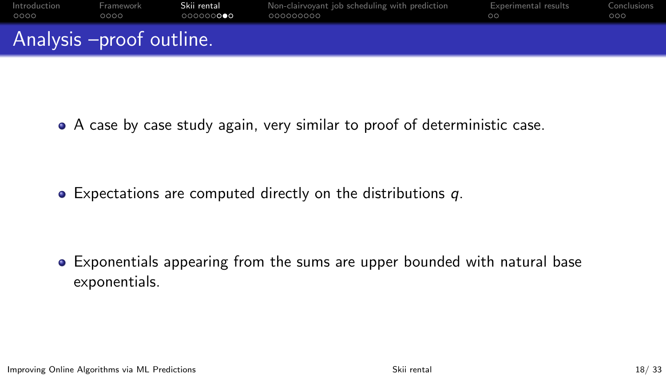| Introduction             | Framework | Skii rental        | Non-clairvoyant job scheduling with prediction | Experimental results | Conclusions |
|--------------------------|-----------|--------------------|------------------------------------------------|----------------------|-------------|
| 0000                     | ററററ      | .000000 <b>000</b> | - 000000000                                    | nn                   | റററ         |
| Analysis -proof outline. |           |                    |                                                |                      |             |

A case by case study again, very similar to proof of deterministic case.

• Expectations are computed directly on the distributions q.

Exponentials appearing from the sums are upper bounded with natural base exponentials.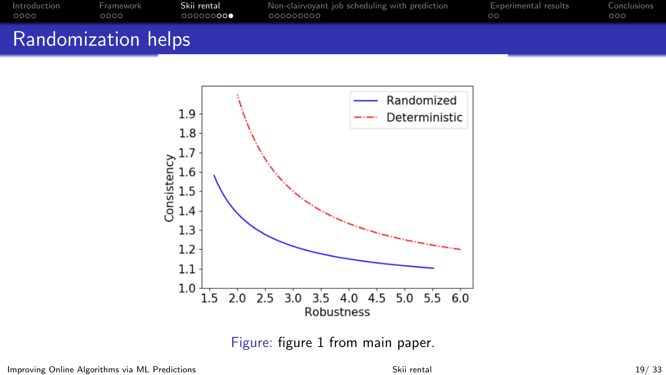| Introduction               | Framework | Skii rental | Non-clairvoyant job scheduling with prediction | <b>Experimental results</b> | Conclusions |
|----------------------------|-----------|-------------|------------------------------------------------|-----------------------------|-------------|
| 0000                       | ററററ      | ©©©©©©      | - 000000000                                    | ററ                          | 000         |
| <b>Randomization helps</b> |           |             |                                                |                             |             |



Figure: figure 1 from main paper.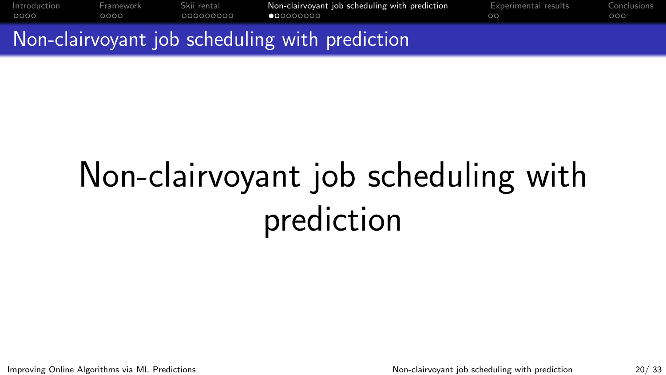<span id="page-19-0"></span>[Introduction](#page-2-0) [Framework](#page-6-0) [Skii rental](#page-10-0) [Non-clairvoyant job scheduling with prediction](#page-19-0) [Experimental results](#page-28-0) [Conclusions](#page-30-0) 0000 000000000

Non-clairvoyant job scheduling with prediction

# Non-clairvoyant job scheduling with prediction

Improving Online Algorithms via ML Predictions Non-clairvoyant iob scheduling with prediction 20/ 33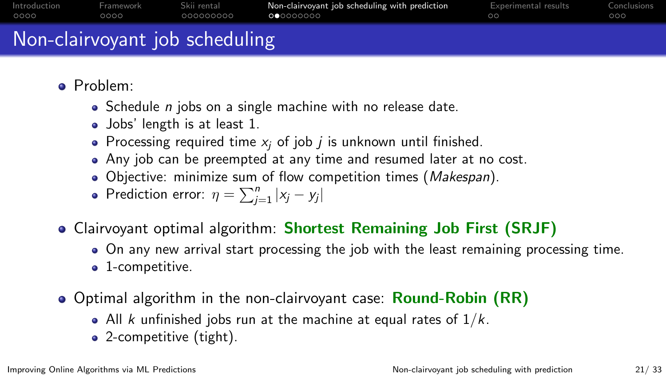| Introduction | Framework | Skii rental | Non-clairvoyant job scheduling with prediction | Experimental results | Conclusions |
|--------------|-----------|-------------|------------------------------------------------|----------------------|-------------|
| 0000         | ററററ      | 000000000   | <b>00</b> 0000000                              | ററ                   | 000         |
|              |           |             |                                                |                      |             |

## Non-clairvoyant job scheduling

- Problem:
	- $\bullet$  Schedule *n* jobs on a single machine with no release date.
	- Jobs' length is at least 1.
	- Processing required time  $x_i$  of job *j* is unknown until finished.
	- Any job can be preempted at any time and resumed later at no cost.
	- Objective: minimize sum of flow competition times (Makespan).
	- Prediction error:  $\eta = \sum_{j=1}^{n} |x_j y_j|$
- Clairvoyant optimal algorithm: Shortest Remaining Job First (SRJF)
	- On any new arrival start processing the job with the least remaining processing time. • 1-competitive.
- Optimal algorithm in the non-clairvoyant case: **Round-Robin (RR)** 
	- All k unfinished jobs run at the machine at equal rates of  $1/k$ .
	- 2-competitive (tight).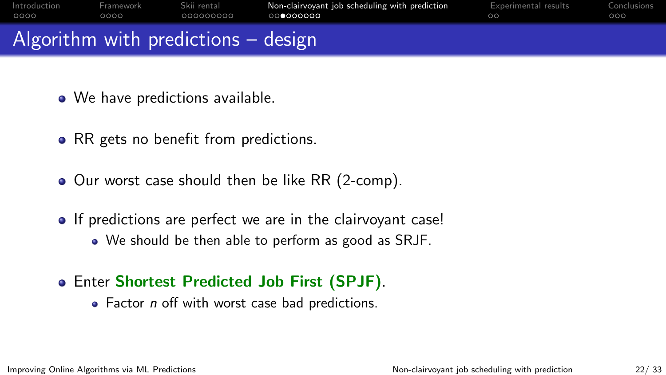<span id="page-21-0"></span>

|        |                                    | Algorithm with nuodictions algorign |                                                |                      |             |
|--------|------------------------------------|-------------------------------------|------------------------------------------------|----------------------|-------------|
| - ററററ | ററററ                               | .000000000                          | െറെറെററെ                                       |                      | . റററ       |
|        | Introduction Framework Skii rental |                                     | Non-clairvoyant job scheduling with prediction | Experimental results | Conclusions |

## Algorithm with predictions – design

- We have predictions available.
- RR gets no benefit from predictions.
- Our worst case should then be like RR (2-comp).
- If predictions are perfect we are in the clairvovant case! We should be then able to perform as good as SRJF.
- Enter Shortest Predicted Job First (SPJF).
	- Factor *n* off with worst case bad predictions.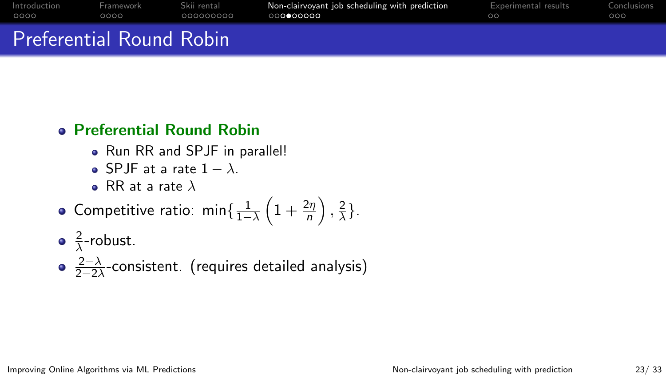| Introduction             | Framework | Skii rental | Non-clairvovant job scheduling with prediction | Experimental results | Conclusions |
|--------------------------|-----------|-------------|------------------------------------------------|----------------------|-------------|
| 0000                     | റററ       | 000000000   | ററ∩ൈറററ                                        | ററ                   | റററ         |
| Preferential Round Robin |           |             |                                                |                      |             |

### Preferential Round Robin

- Run RR and SPJF in parallel!
- $\bullet$  SPJF at a rate 1 −  $\lambda$ .
- RR at a rate  $\lambda$
- Competitive ratio: min $\{\frac{1}{1-\lambda}\left(1+\frac{2\eta}{n}\right), \frac{2}{\lambda}\}$  $\frac{2}{\lambda}$ .
- 2  $\frac{2}{\lambda}$ -robust.
- $2-\lambda$  $\frac{2-\lambda}{2-2\lambda}$ -consistent. (requires detailed analysis)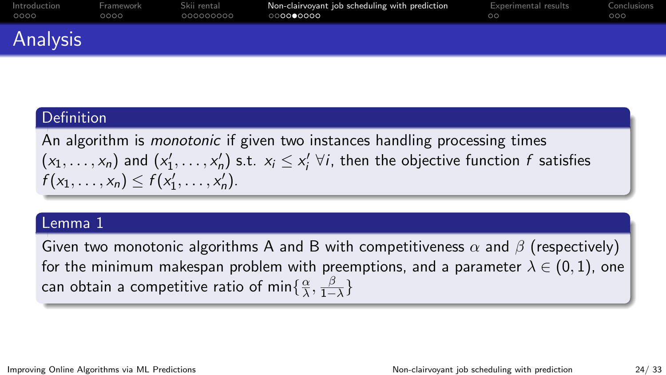| Introduction | Framework | Skii rental | Non-clairvoyant job scheduling with prediction | Experimental results | Conclusions |
|--------------|-----------|-------------|------------------------------------------------|----------------------|-------------|
| 0000         | റററ       | . 000000000 | െറെ∙േററെ                                       | ററ                   | റററ         |
| Analysis     |           |             |                                                |                      |             |

### **Definition**

An algorithm is *monotonic* if given two instances handling processing times  $(x_1,\ldots,x_n)$  and  $(x'_1,\ldots,x'_n)$  s.t.  $x_i\leq x'_i$   $\forall i$ , then the objective function  $f$  satisfies  $f(x_1,...,x_n) \leq f(x'_1,...,x'_n).$ 

### Lemma 1

Given two monotonic algorithms A and B with competitiveness  $\alpha$  and  $\beta$  (respectively) for the minimum makespan problem with preemptions, and a parameter  $\lambda \in (0,1)$ , one can obtain a competitive ratio of min $\{\frac{\alpha}{\lambda}\}$  $\frac{\alpha}{\lambda}, \frac{\beta}{1-}$  $\frac{\beta}{1-\lambda}\}$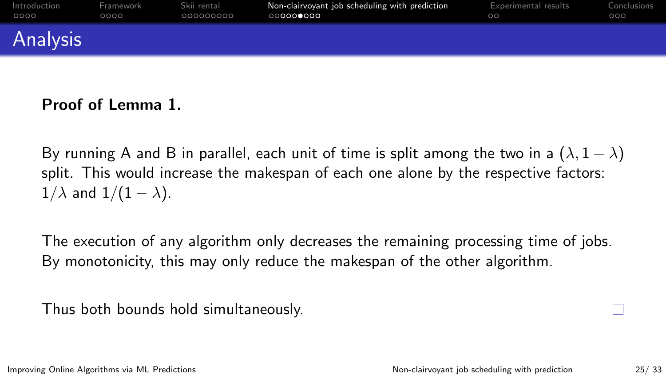| Introduction | Framework | Skii rental | Non-clairvoyant job scheduling with prediction | Experimental results | Conclusions |
|--------------|-----------|-------------|------------------------------------------------|----------------------|-------------|
| 0000         | ററററ      | 000000000   | ○○○○○●○○○                                      | ററ                   | റററ         |
| Analysis     |           |             |                                                |                      |             |

### Proof of Lemma 1.

By running A and B in parallel, each unit of time is split among the two in a  $(\lambda, 1 - \lambda)$ split. This would increase the makespan of each one alone by the respective factors:  $1/\lambda$  and  $1/(1 - \lambda)$ .

The execution of any algorithm only decreases the remaining processing time of jobs. By monotonicity, this may only reduce the makespan of the other algorithm.

Thus both bounds hold simultaneously.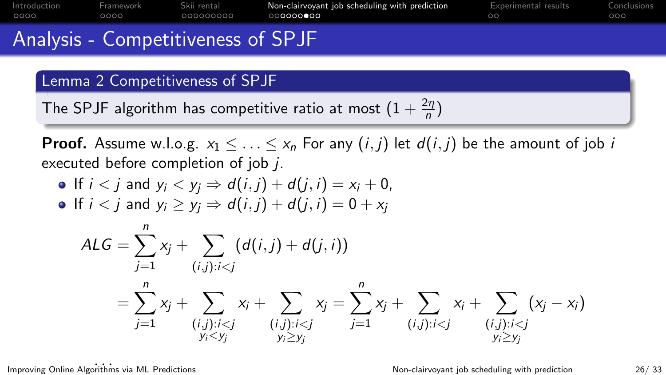| Introduction | Framework | Skii rental | Non-clairvoyant job scheduling with prediction | Experimental results | Conclusions |
|--------------|-----------|-------------|------------------------------------------------|----------------------|-------------|
| OOOO         | OOOO '    | .000000000  | 000000000                                      |                      | റററ         |
|              |           |             |                                                |                      |             |

## Analysis - Competitiveness of SPJF

### Lemma 2 Competitiveness of SPJF

The SPJF algorithm has competitive ratio at most  $\left(1+\frac{2\eta}{n}\right)$ 

**Proof.** Assume w.l.o.g.  $x_1 \leq \ldots \leq x_n$  For any  $(i, j)$  let  $d(i, j)$  be the amount of job i executed before completion of job j.

- If  $i < j$  and  $y_i < y_j \Rightarrow d(i, j) + d(j, i) = x_i + 0$ ,
- If  $i < j$  and  $y_i \ge y_i \Rightarrow d(i, j) + d(j, i) = 0 + x_i$

$$
ALG = \sum_{j=1}^{n} x_j + \sum_{(i,j): i < j} (d(i,j) + d(j,i))
$$
\n
$$
= \sum_{j=1}^{n} x_j + \sum_{\substack{(i,j): i < j \\ y_i < y_j}} x_i + \sum_{\substack{(i,j): i < j \\ y_i \ge y_j}} x_j = \sum_{j=1}^{n} x_j + \sum_{\substack{(i,j): i < j \\ y_i \ge y_j}} x_i + \sum_{\substack{(i,j): i < j \\ y_i \ge y_j}} x_j
$$

mproving Online Algorithms via ML Predictions<br>Mon-clairvoyant job scheduling with prediction and the 26/33 monet of 23/33 monet in the United States of 26/33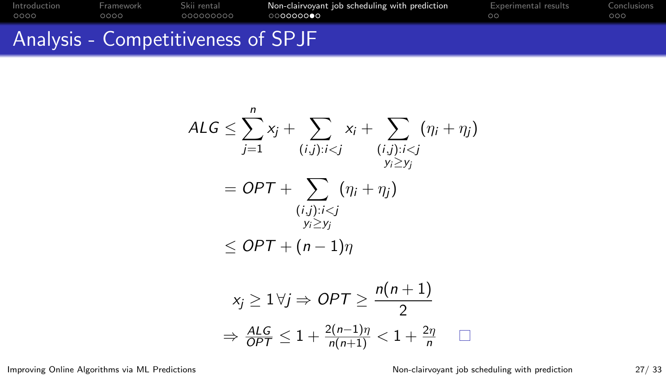|                      |                   |                            | $\mathcal{L} \cap \mathcal{L} \cap \mathcal{L} \cap \mathcal{L} \cap \mathcal{L} \cap \mathcal{L} \cap \mathcal{L} \cap \mathcal{L} \cap \mathcal{L} \cap \mathcal{L} \cap \mathcal{L} \cap \mathcal{L} \cap \mathcal{L} \cap \mathcal{L} \cap \mathcal{L} \cap \mathcal{L} \cap \mathcal{L} \cap \mathcal{L} \cap \mathcal{L} \cap \mathcal{L} \cap \mathcal{L} \cap \mathcal{L} \cap \mathcal{L} \cap \mathcal{L} \cap \mathcal{L} \cap \mathcal{L} \cap \mathcal{L} \cap \mathcal{$ |                      |                    |
|----------------------|-------------------|----------------------------|----------------------------------------------------------------------------------------------------------------------------------------------------------------------------------------------------------------------------------------------------------------------------------------------------------------------------------------------------------------------------------------------------------------------------------------------------------------------------------------|----------------------|--------------------|
| Introduction<br>ററററ | Framework<br>റററെ | Skii rental<br>- 000000000 | Non-clairvoyant job scheduling with prediction<br>, ∩∩∩∩∩∩∩●∩                                                                                                                                                                                                                                                                                                                                                                                                                          | Experimental results | Conclusions<br>റററ |
|                      |                   |                            |                                                                                                                                                                                                                                                                                                                                                                                                                                                                                        |                      |                    |

## Analysis - Competitiveness of SPJF

$$
ALG \le \sum_{j=1}^{n} x_j + \sum_{(i,j): i < j} x_i + \sum_{\substack{(i,j): i < j \\ y_i \ge y_j}} (\eta_i + \eta_j)
$$
\n
$$
= OPT + \sum_{\substack{(i,j): i < j \\ y_i \ge y_j \\ y_i \ge y_j}} (\eta_i + \eta_j)
$$
\n
$$
\le OPT + (n-1)\eta
$$

$$
x_j \ge 1 \,\forall j \Rightarrow OPT \ge \frac{n(n+1)}{2}
$$
\n
$$
\Rightarrow \frac{ALG}{OPT} \le 1 + \frac{2(n-1)\eta}{n(n+1)} < 1 + \frac{2\eta}{n} \quad \Box
$$

Improving Online Algorithms via ML Predictions [Non-clairvoyant job scheduling with prediction](#page-19-0) 27/ 33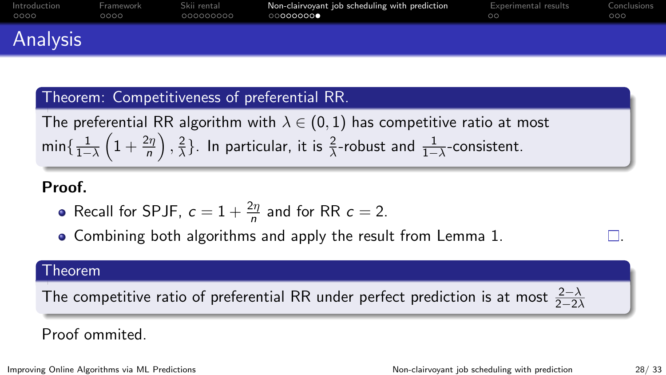| Introduction | Framework | Skii rental | Non-clairvoyant job scheduling with prediction | Experimental results | Conclusions |
|--------------|-----------|-------------|------------------------------------------------|----------------------|-------------|
| 0000         | ററററ      | .000000000  | 00000000                                       | nn                   | റററ         |
| Analysis     |           |             |                                                |                      |             |

### Theorem: Competitiveness of preferential RR.

The preferential RR algorithm with  $\lambda \in (0,1)$  has competitive ratio at most min $\{\frac{1}{1-\lambda}\left(1+\frac{2\eta}{n}\right), \frac{2}{\lambda}\}$  $\frac{2}{\lambda}$ }. In particular, it is  $\frac{2}{\lambda}$ -robust and  $\frac{1}{1-\lambda}$ -consistent.

### Proof.

- Recall for SPJF,  $c = 1 + \frac{2\eta}{n}$  and for RR  $c = 2$ .
- $\bullet$  Combining both algorithms and apply the result from Lemma 1.

#### Theorem

The competitive ratio of preferential RR under perfect prediction is at most  $\frac{2-\lambda}{2-2\lambda}$ 

### Proof ommited.

Improving Online Algorithms via ML Predictions Non-clairvoyant iob scheduling with prediction 28/33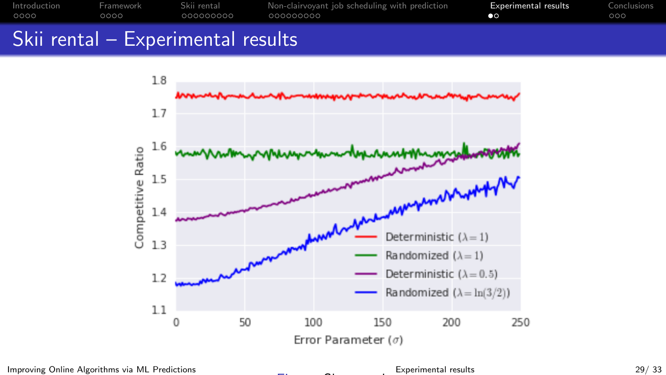<span id="page-28-0"></span>

| Introduction | Framework | Skii rental | Non-clairvoyant job scheduling with prediction | Experimental results | Conclusions |
|--------------|-----------|-------------|------------------------------------------------|----------------------|-------------|
| OOOO         | ೧೧೧೧      | - 000000000 | . 000000000                                    |                      | 000         |
|              |           |             |                                                |                      |             |

## Skii rental – Experimental results



Improving Online Algorithms via ML Predictions **Experimental results** [Experimental results](#page-28-0) 29/33



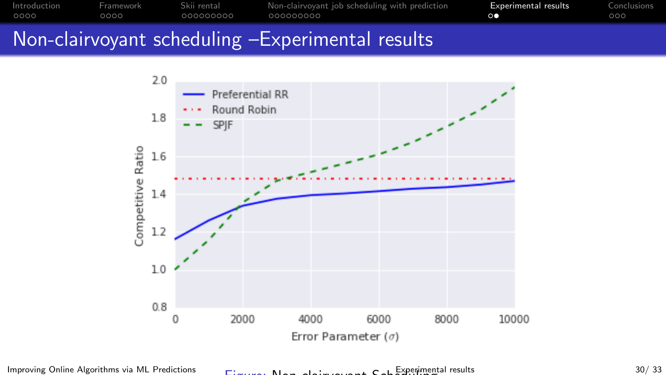

## Non-clairvoyant scheduling –Experimental results



Improving Online Algorithms via ML Predictions  $F: \mathbb{R}^1 \times \mathbb{R}^1 \times \mathbb{R}^2 \times \mathbb{R}^2$  [Experimental results](#page-28-0) 30/33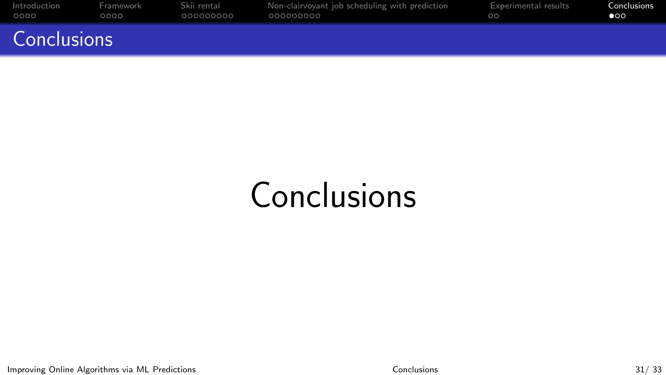<span id="page-30-0"></span>

| Introduction       | Framework | Skii rental | Non-clairvoyant job scheduling with prediction | Experimental results | Conclusions |
|--------------------|-----------|-------------|------------------------------------------------|----------------------|-------------|
| 0000               | റററെ      | 000000000   | .000000000                                     | ററ                   | ൈ           |
| <b>Conclusions</b> |           |             |                                                |                      |             |

## **Conclusions**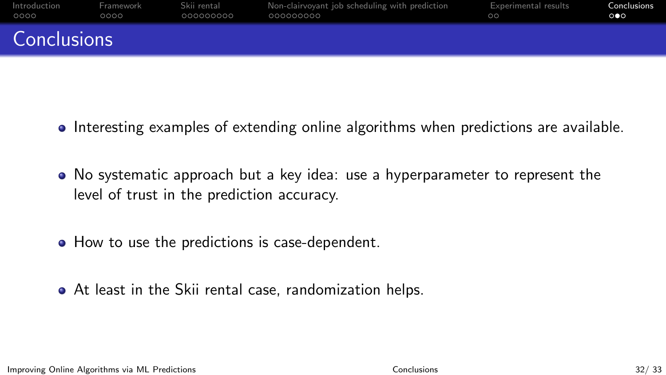| Introduction | Framework | Skii rental | Non-clairvoyant job scheduling with prediction | Experimental results | Conclusions |
|--------------|-----------|-------------|------------------------------------------------|----------------------|-------------|
| 0000         | OOOO      | - 000000000 | .000000000                                     | ററ                   | ൈ           |
| Conclusions  |           |             |                                                |                      |             |

- Interesting examples of extending online algorithms when predictions are available.
- No systematic approach but a key idea: use a hyperparameter to represent the level of trust in the prediction accuracy.
- How to use the predictions is case-dependent.
- At least in the Skii rental case, randomization helps.